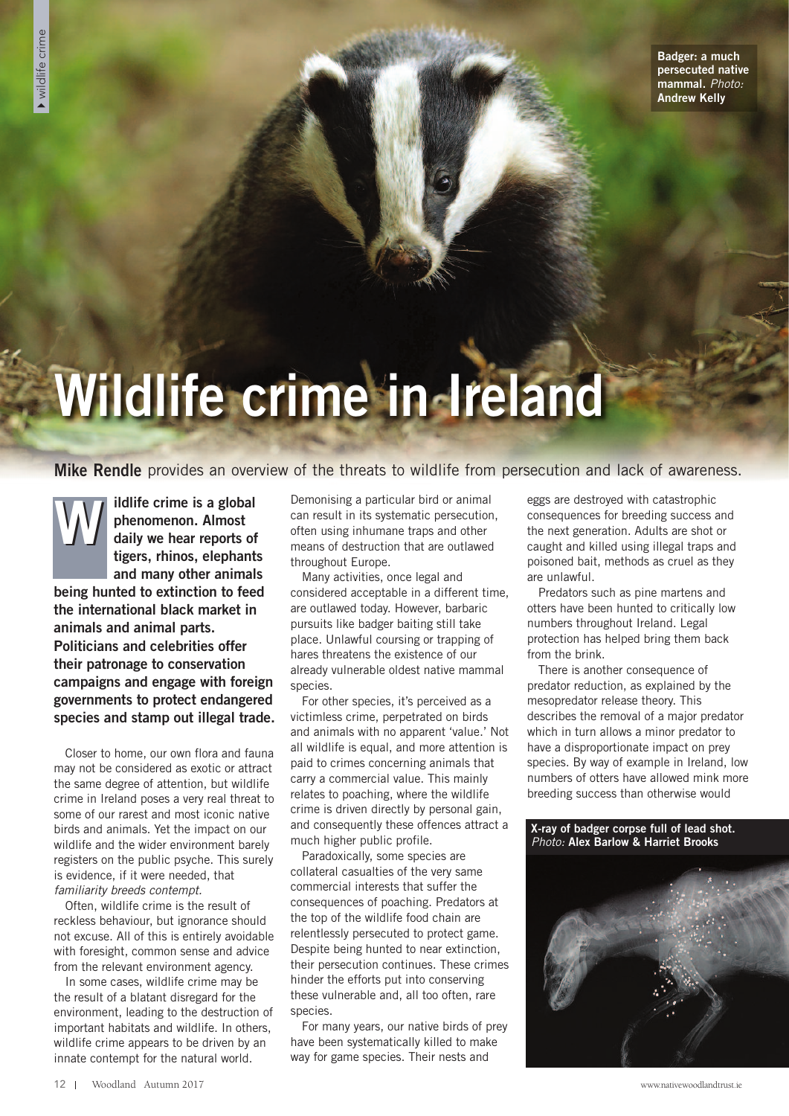**Badger: a much persecuted native mammal.** *Photo:* **Andrew Kelly**

## **Wildlife crime in Ireland**

## **Mike Rendle** provides an overview of the threats to wildlife from persecution and lack of awareness.

**ildlife crime is a global phenomenon. Almost daily we hear reports of tigers, rhinos, elephants and many other animals being hunted to extinction to feed the international black market in animals and animal parts. Politicians and celebrities offer their patronage to conservation campaigns and engage with foreign governments to protect endangered species and stamp out illegal trade. W**

Closer to home, our own flora and fauna may not be considered as exotic or attract the same degree of attention, but wildlife crime in Ireland poses a very real threat to some of our rarest and most iconic native birds and animals. Yet the impact on our wildlife and the wider environment barely registers on the public psyche. This surely is evidence, if it were needed, that *familiarity breeds contempt.*

Often, wildlife crime is the result of reckless behaviour, but ignorance should not excuse. All of this is entirely avoidable with foresight, common sense and advice from the relevant environment agency.

In some cases, wildlife crime may be the result of a blatant disregard for the environment, leading to the destruction of important habitats and wildlife. In others, wildlife crime appears to be driven by an innate contempt for the natural world.

Demonising a particular bird or animal can result in its systematic persecution, often using inhumane traps and other means of destruction that are outlawed throughout Europe.

Many activities, once legal and considered acceptable in a different time, are outlawed today. However, barbaric pursuits like badger baiting still take place. Unlawful coursing or trapping of hares threatens the existence of our already vulnerable oldest native mammal species.

For other species, it's perceived as a victimless crime, perpetrated on birds and animals with no apparent 'value.' Not all wildlife is equal, and more attention is paid to crimes concerning animals that carry a commercial value. This mainly relates to poaching, where the wildlife crime is driven directly by personal gain, and consequently these offences attract a much higher public profile.

Paradoxically, some species are collateral casualties of the very same commercial interests that suffer the consequences of poaching. Predators at the top of the wildlife food chain are relentlessly persecuted to protect game. Despite being hunted to near extinction, their persecution continues. These crimes hinder the efforts put into conserving these vulnerable and, all too often, rare species.

For many years, our native birds of prey have been systematically killed to make way for game species. Their nests and

eggs are destroyed with catastrophic consequences for breeding success and the next generation. Adults are shot or caught and killed using illegal traps and poisoned bait, methods as cruel as they are unlawful.

Predators such as pine martens and otters have been hunted to critically low numbers throughout Ireland. Legal protection has helped bring them back from the brink.

There is another consequence of predator reduction, as explained by the mesopredator release theory. This describes the removal of a major predator which in turn allows a minor predator to have a disproportionate impact on prey species. By way of example in Ireland, low numbers of otters have allowed mink more breeding success than otherwise would

**X-ray of badger corpse full of lead shot.** *Photo:* **Alex Barlow & Harriet Brooks**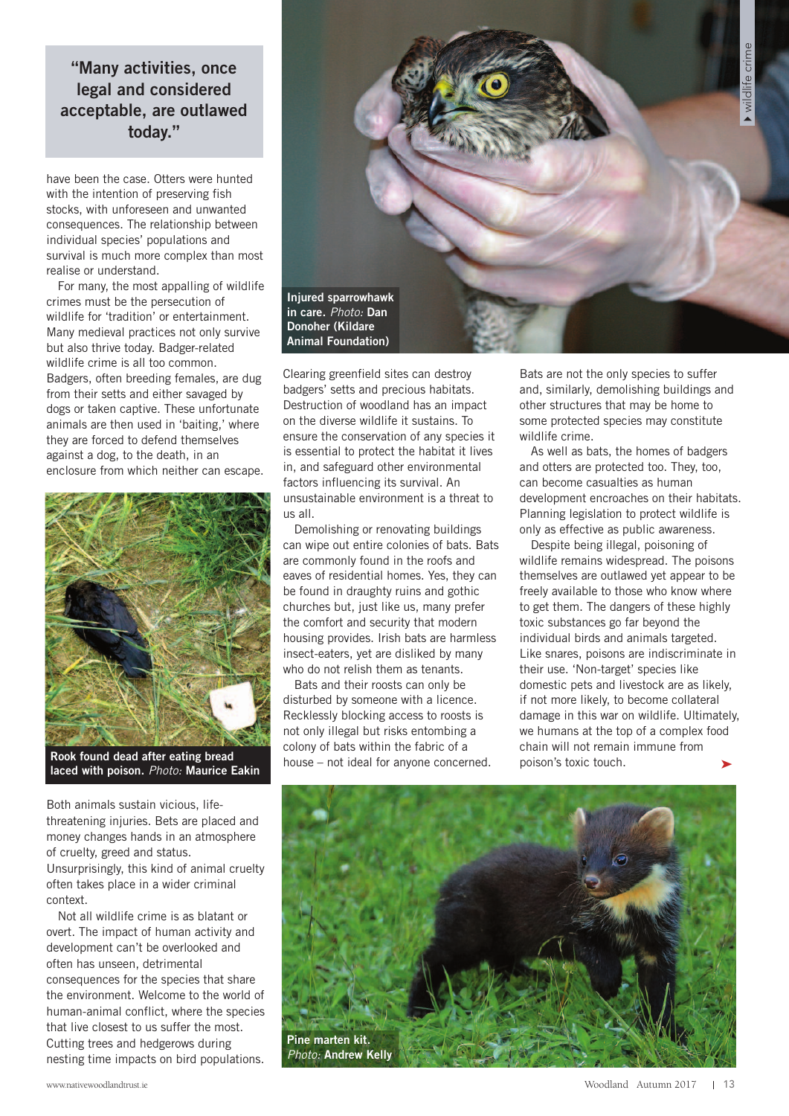**"Many activities, once legal and considered acceptable, are outlawed today."**

have been the case. Otters were hunted with the intention of preserving fish stocks, with unforeseen and unwanted consequences. The relationship between individual species' populations and survival is much more complex than most realise or understand.

For many, the most appalling of wildlife crimes must be the persecution of wildlife for 'tradition' or entertainment. Many medieval practices not only survive but also thrive today. Badger-related wildlife crime is all too common. Badgers, often breeding females, are dug from their setts and either savaged by dogs or taken captive. These unfortunate animals are then used in 'baiting,' where they are forced to defend themselves against a dog, to the death, in an enclosure from which neither can escape.



**Rook found dead after eating bread laced with poison.** *Photo:* **Maurice Eakin**

Both animals sustain vicious, lifethreatening injuries. Bets are placed and money changes hands in an atmosphere of cruelty, greed and status. Unsurprisingly, this kind of animal cruelty often takes place in a wider criminal context.

Not all wildlife crime is as blatant or overt. The impact of human activity and development can't be overlooked and often has unseen, detrimental consequences for the species that share the environment. Welcome to the world of human-animal conflict, where the species that live closest to us suffer the most. Cutting trees and hedgerows during nesting time impacts on bird populations.



Clearing greenfield sites can destroy badgers' setts and precious habitats. Destruction of woodland has an impact on the diverse wildlife it sustains. To ensure the conservation of any species it is essential to protect the habitat it lives in, and safeguard other environmental factors influencing its survival. An unsustainable environment is a threat to us all.

Demolishing or renovating buildings can wipe out entire colonies of bats. Bats are commonly found in the roofs and eaves of residential homes. Yes, they can be found in draughty ruins and gothic churches but, just like us, many prefer the comfort and security that modern housing provides. Irish bats are harmless insect-eaters, yet are disliked by many who do not relish them as tenants.

Bats and their roosts can only be disturbed by someone with a licence. Recklessly blocking access to roosts is not only illegal but risks entombing a colony of bats within the fabric of a house – not ideal for anyone concerned. Bats are not the only species to suffer and, similarly, demolishing buildings and other structures that may be home to some protected species may constitute wildlife crime.

As well as bats, the homes of badgers and otters are protected too. They, too, can become casualties as human development encroaches on their habitats. Planning legislation to protect wildlife is only as effective as public awareness.

Despite being illegal, poisoning of wildlife remains widespread. The poisons themselves are outlawed yet appear to be freely available to those who know where to get them. The dangers of these highly toxic substances go far beyond the individual birds and animals targeted. Like snares, poisons are indiscriminate in their use. 'Non-target' species like domestic pets and livestock are as likely, if not more likely, to become collateral damage in this war on wildlife. Ultimately, we humans at the top of a complex food chain will not remain immune from poison's toxic touch. ➤